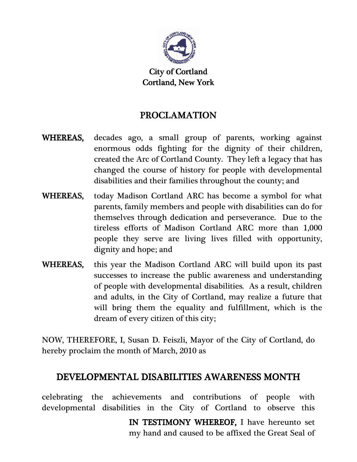

City of Cortland Cortland, New York York

## PROCLAMATION

- WHEREAS, decades ago, a small group of parents, working against enormous odds fighting for the dignity of their children, created the Arc of Cortland County. They left a legacy that has changed the course of history for people with developmental disabilities and their families throughout the county; and
- WHEREAS, today Madison Cortland ARC has become a symbol for what parents, family members and people with disabilities can do for themselves through dedication and perseverance. Due to the tireless efforts of Madison Cortland ARC more than 1,000 people they serve are living lives filled with opportunity, dignity and hope; and
- WHEREAS, this year the Madison Cortland ARC will build upon its past successes to increase the public awareness and understanding of people with developmental disabilities. As a result, children and adults, in the City of Cortland, may realize a future that will bring them the equality and fulfillment, which is the dream of every citizen of this city;

NOW, THEREFORE, I, Susan D. Feiszli, Mayor of the City of Cortland, do hereby proclaim the month of March, 2010 as

## DEVELOPMENTAL DISABILITIES AWARENESS MONTH

 celebrating the achievements and contributions of people with developmental disabilities in the City of Cortland to observe this

> IN TESTIMONY WHEREOF, I have hereunto set my hand and caused to be affixed the Great Seal of